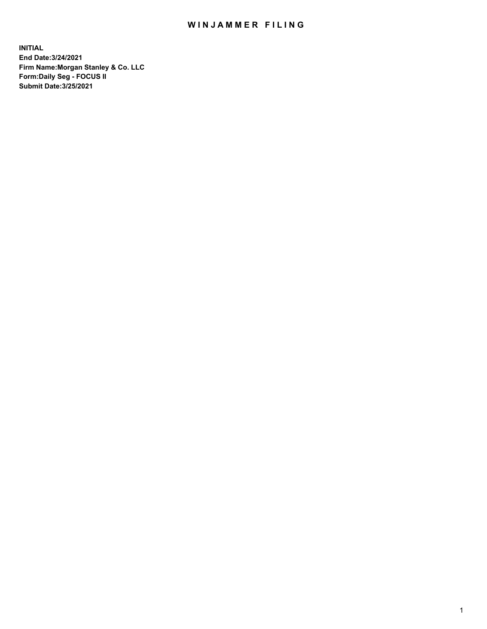## WIN JAMMER FILING

**INITIAL End Date:3/24/2021 Firm Name:Morgan Stanley & Co. LLC Form:Daily Seg - FOCUS II Submit Date:3/25/2021**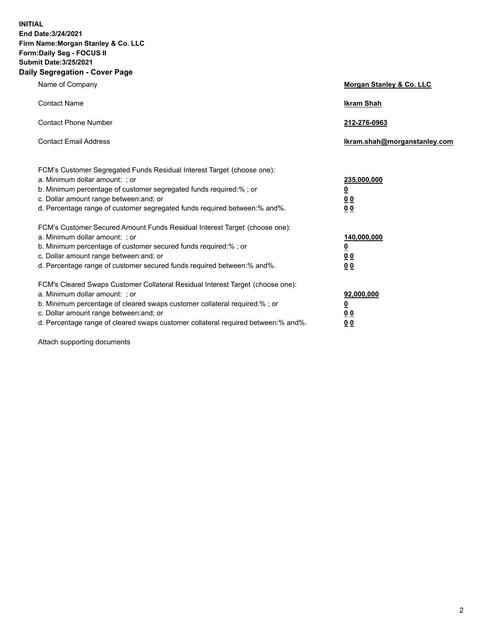**INITIAL End Date:3/24/2021 Firm Name:Morgan Stanley & Co. LLC Form:Daily Seg - FOCUS II Submit Date:3/25/2021 Daily Segregation - Cover Page**

| Name of Company                                                                                                                                                                                                                                                                                                                | Morgan Stanley & Co. LLC                                |
|--------------------------------------------------------------------------------------------------------------------------------------------------------------------------------------------------------------------------------------------------------------------------------------------------------------------------------|---------------------------------------------------------|
| <b>Contact Name</b>                                                                                                                                                                                                                                                                                                            | <b>Ikram Shah</b>                                       |
| <b>Contact Phone Number</b>                                                                                                                                                                                                                                                                                                    | 212-276-0963                                            |
| <b>Contact Email Address</b>                                                                                                                                                                                                                                                                                                   | Ikram.shah@morganstanley.com                            |
| FCM's Customer Segregated Funds Residual Interest Target (choose one):<br>a. Minimum dollar amount: ; or<br>b. Minimum percentage of customer segregated funds required:%; or<br>c. Dollar amount range between: and; or<br>d. Percentage range of customer segregated funds required between: % and %.                        | 235,000,000<br><u>0</u><br>00<br>0 Q                    |
| FCM's Customer Secured Amount Funds Residual Interest Target (choose one):<br>a. Minimum dollar amount: ; or<br>b. Minimum percentage of customer secured funds required:%; or<br>c. Dollar amount range between: and; or<br>d. Percentage range of customer secured funds required between:% and%.                            | 140,000,000<br><u>0</u><br><u>0 0</u><br>0 <sub>0</sub> |
| FCM's Cleared Swaps Customer Collateral Residual Interest Target (choose one):<br>a. Minimum dollar amount: ; or<br>b. Minimum percentage of cleared swaps customer collateral required:% ; or<br>c. Dollar amount range between: and; or<br>d. Percentage range of cleared swaps customer collateral required between:% and%. | 92,000,000<br><u>0</u><br><u>00</u><br>00               |

Attach supporting documents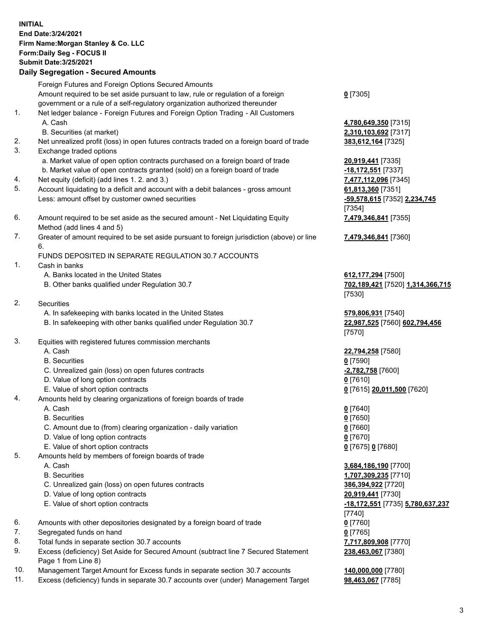## **INITIAL End Date:3/24/2021 Firm Name:Morgan Stanley & Co. LLC Form:Daily Seg - FOCUS II Submit Date:3/25/2021**

## **Daily Segregation - Secured Amounts**

Foreign Futures and Foreign Options Secured Amounts Amount required to be set aside pursuant to law, rule or regulation of a foreign government or a rule of a self-regulatory organization authorized thereunder 1. Net ledger balance - Foreign Futures and Foreign Option Trading - All Customers A. Cash **4,780,649,350** [7315] B. Securities (at market) **2,310,103,692** [7317] 2. Net unrealized profit (loss) in open futures contracts traded on a foreign board of trade **383,612,164** [7325] 3. Exchange traded options a. Market value of open option contracts purchased on a foreign board of trade **20,919,441** [7335] b. Market value of open contracts granted (sold) on a foreign board of trade **-18,172,551** [7337] 4. Net equity (deficit) (add lines 1. 2. and 3.) **7,477,112,096** [7345] 5. Account liquidating to a deficit and account with a debit balances - gross amount **61,813,360** [7351] Less: amount offset by customer owned securities **-59,578,615** [7352] **2,234,745** 6. Amount required to be set aside as the secured amount - Net Liquidating Equity Method (add lines 4 and 5) 7. Greater of amount required to be set aside pursuant to foreign jurisdiction (above) or line 6.

## FUNDS DEPOSITED IN SEPARATE REGULATION 30.7 ACCOUNTS

- 1. Cash in banks
	- A. Banks located in the United States **612,177,294** [7500]
	- B. Other banks qualified under Regulation 30.7 **702,189,421** [7520] **1,314,366,715**
- 2. Securities
	- A. In safekeeping with banks located in the United States **579,806,931** [7540]
	- B. In safekeeping with other banks qualified under Regulation 30.7 **22,987,525** [7560] **602,794,456**
- 3. Equities with registered futures commission merchants
	-
	- B. Securities **0** [7590]
	- C. Unrealized gain (loss) on open futures contracts **-2,782,758** [7600]
	- D. Value of long option contracts **0** [7610]
	- E. Value of short option contracts **0** [7615] **20,011,500** [7620]
- 4. Amounts held by clearing organizations of foreign boards of trade
	- A. Cash **0** [7640]
	- B. Securities **0** [7650]
	- C. Amount due to (from) clearing organization daily variation **0** [7660]
	- D. Value of long option contracts **0** [7670]
	- E. Value of short option contracts **0** [7675] **0** [7680]
- 5. Amounts held by members of foreign boards of trade
	-
	-
	- C. Unrealized gain (loss) on open futures contracts **386,394,922** [7720]
	- D. Value of long option contracts **20,919,441** [7730]
	- E. Value of short option contracts **-18,172,551** [7735] **5,780,637,237**
- 6. Amounts with other depositories designated by a foreign board of trade **0** [7760]
- 7. Segregated funds on hand **0** [7765]
- 8. Total funds in separate section 30.7 accounts **7,717,809,908** [7770]
- 9. Excess (deficiency) Set Aside for Secured Amount (subtract line 7 Secured Statement Page 1 from Line 8)
- 10. Management Target Amount for Excess funds in separate section 30.7 accounts **140,000,000** [7780]
- 11. Excess (deficiency) funds in separate 30.7 accounts over (under) Management Target **98,463,067** [7785]

**0** [7305]

[7354] **7,479,346,841** [7355]

**7,479,346,841** [7360]

[7530]

[7570]

A. Cash **22,794,258** [7580]

 A. Cash **3,684,186,190** [7700] B. Securities **1,707,309,235** [7710] [7740] **238,463,067** [7380]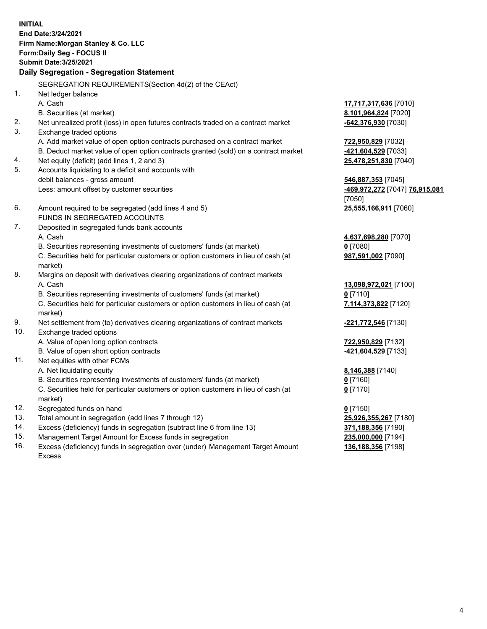**INITIAL End Date:3/24/2021 Firm Name:Morgan Stanley & Co. LLC Form:Daily Seg - FOCUS II Submit Date:3/25/2021 Daily Segregation - Segregation Statement** SEGREGATION REQUIREMENTS(Section 4d(2) of the CEAct) 1. Net ledger balance A. Cash **17,717,317,636** [7010] B. Securities (at market) **8,101,964,824** [7020] 2. Net unrealized profit (loss) in open futures contracts traded on a contract market **-642,376,930** [7030] 3. Exchange traded options A. Add market value of open option contracts purchased on a contract market **722,950,829** [7032] B. Deduct market value of open option contracts granted (sold) on a contract market **-421,604,529** [7033] 4. Net equity (deficit) (add lines 1, 2 and 3) **25,478,251,830** [7040] 5. Accounts liquidating to a deficit and accounts with debit balances - gross amount **546,887,353** [7045] Less: amount offset by customer securities **-469,972,272** [7047] **76,915,081** [7050] 6. Amount required to be segregated (add lines 4 and 5) **25,555,166,911** [7060] FUNDS IN SEGREGATED ACCOUNTS 7. Deposited in segregated funds bank accounts A. Cash **4,637,698,280** [7070] B. Securities representing investments of customers' funds (at market) **0** [7080] C. Securities held for particular customers or option customers in lieu of cash (at market) **987,591,002** [7090] 8. Margins on deposit with derivatives clearing organizations of contract markets A. Cash **13,098,972,021** [7100] B. Securities representing investments of customers' funds (at market) **0** [7110] C. Securities held for particular customers or option customers in lieu of cash (at market) **7,114,373,822** [7120] 9. Net settlement from (to) derivatives clearing organizations of contract markets **-221,772,546** [7130] 10. Exchange traded options A. Value of open long option contracts **722,950,829** [7132] B. Value of open short option contracts **-421,604,529** [7133] 11. Net equities with other FCMs A. Net liquidating equity **8,146,388** [7140] B. Securities representing investments of customers' funds (at market) **0** [7160] C. Securities held for particular customers or option customers in lieu of cash (at market) **0** [7170] 12. Segregated funds on hand **0** [7150] 13. Total amount in segregation (add lines 7 through 12) **25,926,355,267** [7180] 14. Excess (deficiency) funds in segregation (subtract line 6 from line 13) **371,188,356** [7190]

- 15. Management Target Amount for Excess funds in segregation **235,000,000** [7194]
- 16. Excess (deficiency) funds in segregation over (under) Management Target Amount Excess

**136,188,356** [7198]